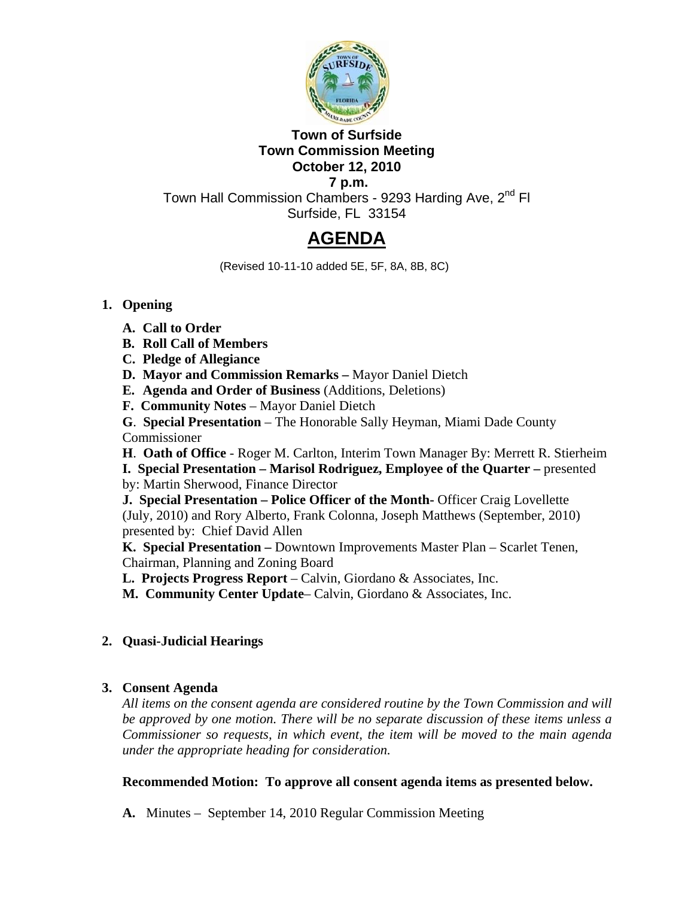

# **Town of Surfside Town Commission Meeting October 12, 2010**

 **7 p.m.**  Town Hall Commission Chambers - 9293 Harding Ave, 2<sup>nd</sup> Fl Surfside, FL 33154

# **AGENDA**

(Revised 10-11-10 added 5E, 5F, 8A, 8B, 8C)

## **1. Opening**

- **A. Call to Order**
- **B. Roll Call of Members**
- **C. Pledge of Allegiance**
- **D. Mayor and Commission Remarks** Mayor Daniel Dietch
- **E. Agenda and Order of Business** (Additions, Deletions)
- **F. Community Notes** Mayor Daniel Dietch
- **G**. **Special Presentation** The Honorable Sally Heyman, Miami Dade County Commissioner

**H**. **Oath of Office** - Roger M. Carlton, Interim Town Manager By: Merrett R. Stierheim **I. Special Presentation – Marisol Rodriguez, Employee of the Quarter –** presented

by: Martin Sherwood, Finance Director

**J. Special Presentation – Police Officer of the Month-** Officer Craig Lovellette (July, 2010) and Rory Alberto, Frank Colonna, Joseph Matthews (September, 2010) presented by: Chief David Allen

**K. Special Presentation –** Downtown Improvements Master Plan – Scarlet Tenen, Chairman, Planning and Zoning Board

**L. Projects Progress Report** – Calvin, Giordano & Associates, Inc.

**M. Community Center Update**– Calvin, Giordano & Associates, Inc.

# **2. Quasi-Judicial Hearings**

## **3. Consent Agenda**

*All items on the consent agenda are considered routine by the Town Commission and will be approved by one motion. There will be no separate discussion of these items unless a Commissioner so requests, in which event, the item will be moved to the main agenda under the appropriate heading for consideration.*

## **Recommended Motion: To approve all consent agenda items as presented below.**

**A.** Minutes – September 14, 2010 Regular Commission Meeting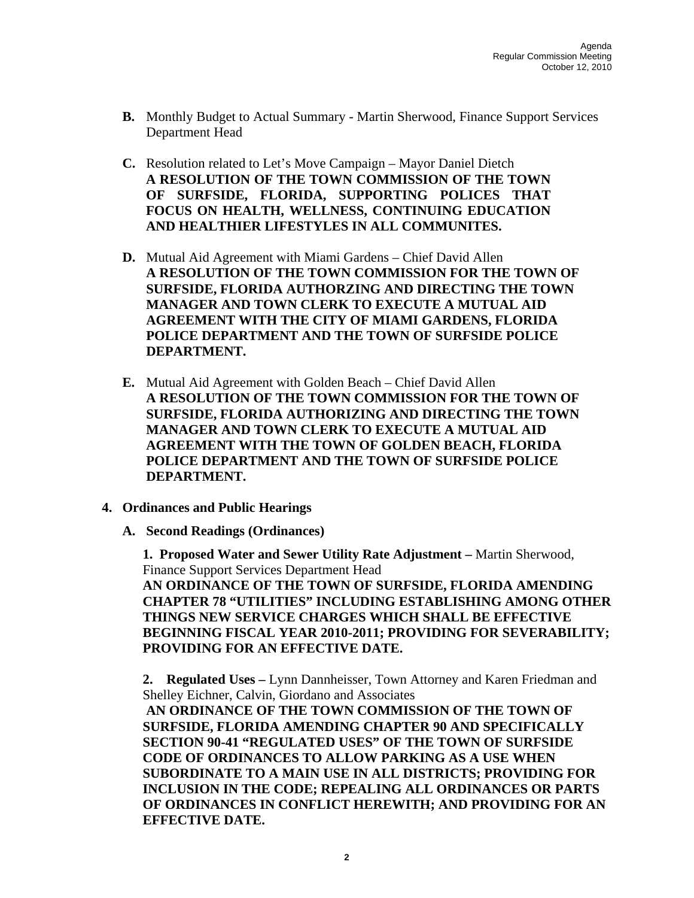- **B.** Monthly Budget to Actual Summary Martin Sherwood, Finance Support Services Department Head
- **C.** Resolution related to Let's Move Campaign Mayor Daniel Dietch **A RESOLUTION OF THE TOWN COMMISSION OF THE TOWN OF SURFSIDE, FLORIDA, SUPPORTING POLICES THAT FOCUS ON HEALTH, WELLNESS, CONTINUING EDUCATION AND HEALTHIER LIFESTYLES IN ALL COMMUNITES.**
- **D.** Mutual Aid Agreement with Miami Gardens Chief David Allen **A RESOLUTION OF THE TOWN COMMISSION FOR THE TOWN OF SURFSIDE, FLORIDA AUTHORZING AND DIRECTING THE TOWN MANAGER AND TOWN CLERK TO EXECUTE A MUTUAL AID AGREEMENT WITH THE CITY OF MIAMI GARDENS, FLORIDA POLICE DEPARTMENT AND THE TOWN OF SURFSIDE POLICE DEPARTMENT.**
- **E.** Mutual Aid Agreement with Golden Beach Chief David Allen **A RESOLUTION OF THE TOWN COMMISSION FOR THE TOWN OF SURFSIDE, FLORIDA AUTHORIZING AND DIRECTING THE TOWN MANAGER AND TOWN CLERK TO EXECUTE A MUTUAL AID AGREEMENT WITH THE TOWN OF GOLDEN BEACH, FLORIDA POLICE DEPARTMENT AND THE TOWN OF SURFSIDE POLICE DEPARTMENT.**
- **4. Ordinances and Public Hearings** 
	- **A. Second Readings (Ordinances)**

 **1. Proposed Water and Sewer Utility Rate Adjustment –** Martin Sherwood, Finance Support Services Department Head **AN ORDINANCE OF THE TOWN OF SURFSIDE, FLORIDA AMENDING CHAPTER 78 "UTILITIES" INCLUDING ESTABLISHING AMONG OTHER THINGS NEW SERVICE CHARGES WHICH SHALL BE EFFECTIVE BEGINNING FISCAL YEAR 2010-2011; PROVIDING FOR SEVERABILITY; PROVIDING FOR AN EFFECTIVE DATE.** 

 **2. Regulated Uses –** Lynn Dannheisser, Town Attorney and Karen Friedman and Shelley Eichner, Calvin, Giordano and Associates

**AN ORDINANCE OF THE TOWN COMMISSION OF THE TOWN OF SURFSIDE, FLORIDA AMENDING CHAPTER 90 AND SPECIFICALLY SECTION 90-41 "REGULATED USES" OF THE TOWN OF SURFSIDE CODE OF ORDINANCES TO ALLOW PARKING AS A USE WHEN SUBORDINATE TO A MAIN USE IN ALL DISTRICTS; PROVIDING FOR INCLUSION IN THE CODE; REPEALING ALL ORDINANCES OR PARTS OF ORDINANCES IN CONFLICT HEREWITH; AND PROVIDING FOR AN EFFECTIVE DATE.**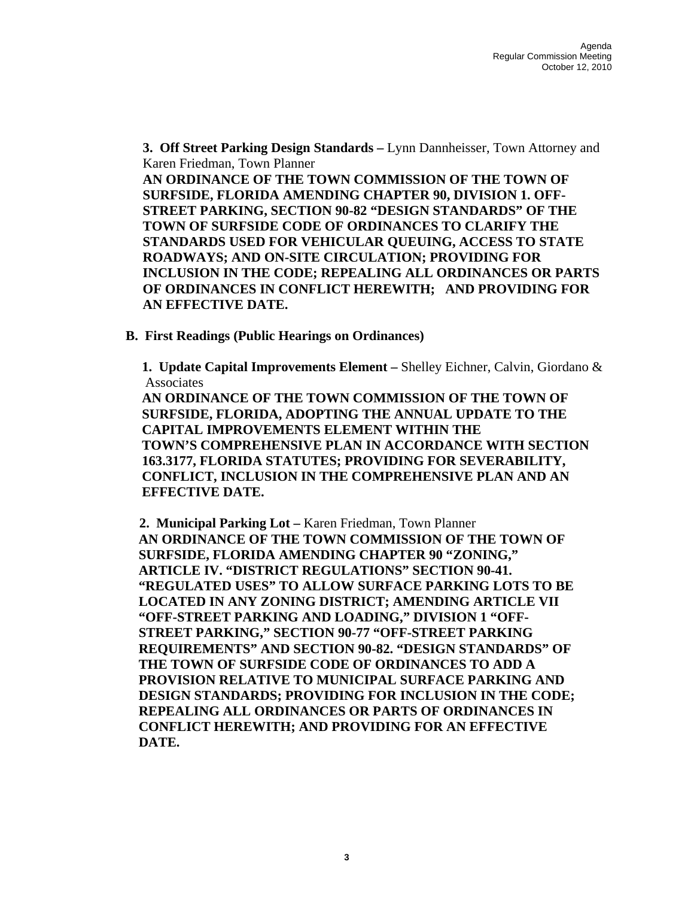**3. Off Street Parking Design Standards –** Lynn Dannheisser, Town Attorney and Karen Friedman, Town Planner

**AN ORDINANCE OF THE TOWN COMMISSION OF THE TOWN OF SURFSIDE, FLORIDA AMENDING CHAPTER 90, DIVISION 1. OFF-STREET PARKING, SECTION 90-82 "DESIGN STANDARDS" OF THE TOWN OF SURFSIDE CODE OF ORDINANCES TO CLARIFY THE STANDARDS USED FOR VEHICULAR QUEUING, ACCESS TO STATE ROADWAYS; AND ON-SITE CIRCULATION; PROVIDING FOR INCLUSION IN THE CODE; REPEALING ALL ORDINANCES OR PARTS OF ORDINANCES IN CONFLICT HEREWITH; AND PROVIDING FOR AN EFFECTIVE DATE.** 

 **B. First Readings (Public Hearings on Ordinances)** 

**1. Update Capital Improvements Element –** Shelley Eichner, Calvin, Giordano & **Associates** 

**AN ORDINANCE OF THE TOWN COMMISSION OF THE TOWN OF SURFSIDE, FLORIDA, ADOPTING THE ANNUAL UPDATE TO THE CAPITAL IMPROVEMENTS ELEMENT WITHIN THE TOWN'S COMPREHENSIVE PLAN IN ACCORDANCE WITH SECTION 163.3177, FLORIDA STATUTES; PROVIDING FOR SEVERABILITY, CONFLICT, INCLUSION IN THE COMPREHENSIVE PLAN AND AN EFFECTIVE DATE.** 

 **2. Municipal Parking Lot –** Karen Friedman, Town Planner **AN ORDINANCE OF THE TOWN COMMISSION OF THE TOWN OF SURFSIDE, FLORIDA AMENDING CHAPTER 90 "ZONING," ARTICLE IV. "DISTRICT REGULATIONS" SECTION 90-41. "REGULATED USES" TO ALLOW SURFACE PARKING LOTS TO BE LOCATED IN ANY ZONING DISTRICT; AMENDING ARTICLE VII "OFF-STREET PARKING AND LOADING," DIVISION 1 "OFF-STREET PARKING," SECTION 90-77 "OFF-STREET PARKING REQUIREMENTS" AND SECTION 90-82. "DESIGN STANDARDS" OF THE TOWN OF SURFSIDE CODE OF ORDINANCES TO ADD A PROVISION RELATIVE TO MUNICIPAL SURFACE PARKING AND DESIGN STANDARDS; PROVIDING FOR INCLUSION IN THE CODE; REPEALING ALL ORDINANCES OR PARTS OF ORDINANCES IN CONFLICT HEREWITH; AND PROVIDING FOR AN EFFECTIVE DATE.**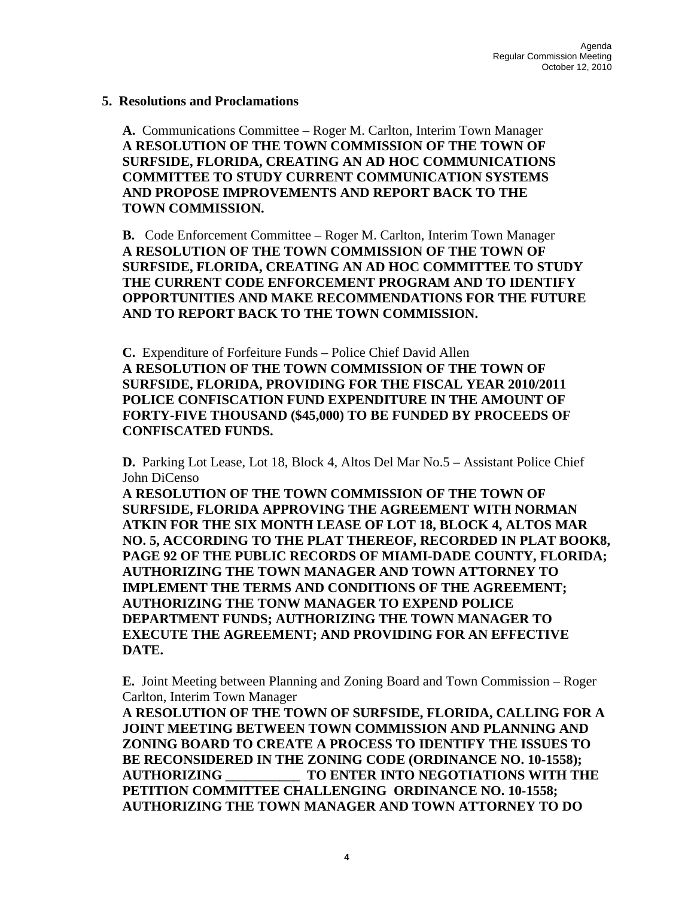#### **5. Resolutions and Proclamations**

**A.** Communications Committee – Roger M. Carlton, Interim Town Manager **A RESOLUTION OF THE TOWN COMMISSION OF THE TOWN OF SURFSIDE, FLORIDA, CREATING AN AD HOC COMMUNICATIONS COMMITTEE TO STUDY CURRENT COMMUNICATION SYSTEMS AND PROPOSE IMPROVEMENTS AND REPORT BACK TO THE TOWN COMMISSION.** 

**B.** Code Enforcement Committee – Roger M. Carlton, Interim Town Manager **A RESOLUTION OF THE TOWN COMMISSION OF THE TOWN OF SURFSIDE, FLORIDA, CREATING AN AD HOC COMMITTEE TO STUDY THE CURRENT CODE ENFORCEMENT PROGRAM AND TO IDENTIFY OPPORTUNITIES AND MAKE RECOMMENDATIONS FOR THE FUTURE AND TO REPORT BACK TO THE TOWN COMMISSION.** 

**C.** Expenditure of Forfeiture Funds – Police Chief David Allen **A RESOLUTION OF THE TOWN COMMISSION OF THE TOWN OF SURFSIDE, FLORIDA, PROVIDING FOR THE FISCAL YEAR 2010/2011 POLICE CONFISCATION FUND EXPENDITURE IN THE AMOUNT OF FORTY-FIVE THOUSAND (\$45,000) TO BE FUNDED BY PROCEEDS OF CONFISCATED FUNDS.** 

**D.** Parking Lot Lease, Lot 18, Block 4, Altos Del Mar No.5 **–** Assistant Police Chief John DiCenso

**A RESOLUTION OF THE TOWN COMMISSION OF THE TOWN OF SURFSIDE, FLORIDA APPROVING THE AGREEMENT WITH NORMAN ATKIN FOR THE SIX MONTH LEASE OF LOT 18, BLOCK 4, ALTOS MAR NO. 5, ACCORDING TO THE PLAT THEREOF, RECORDED IN PLAT BOOK8, PAGE 92 OF THE PUBLIC RECORDS OF MIAMI-DADE COUNTY, FLORIDA; AUTHORIZING THE TOWN MANAGER AND TOWN ATTORNEY TO IMPLEMENT THE TERMS AND CONDITIONS OF THE AGREEMENT; AUTHORIZING THE TONW MANAGER TO EXPEND POLICE DEPARTMENT FUNDS; AUTHORIZING THE TOWN MANAGER TO EXECUTE THE AGREEMENT; AND PROVIDING FOR AN EFFECTIVE DATE.** 

**E.** Joint Meeting between Planning and Zoning Board and Town Commission – Roger Carlton, Interim Town Manager

**A RESOLUTION OF THE TOWN OF SURFSIDE, FLORIDA, CALLING FOR A JOINT MEETING BETWEEN TOWN COMMISSION AND PLANNING AND ZONING BOARD TO CREATE A PROCESS TO IDENTIFY THE ISSUES TO BE RECONSIDERED IN THE ZONING CODE (ORDINANCE NO. 10-1558); AUTHORIZING \_\_\_\_\_\_\_\_\_\_\_ TO ENTER INTO NEGOTIATIONS WITH THE PETITION COMMITTEE CHALLENGING ORDINANCE NO. 10-1558; AUTHORIZING THE TOWN MANAGER AND TOWN ATTORNEY TO DO**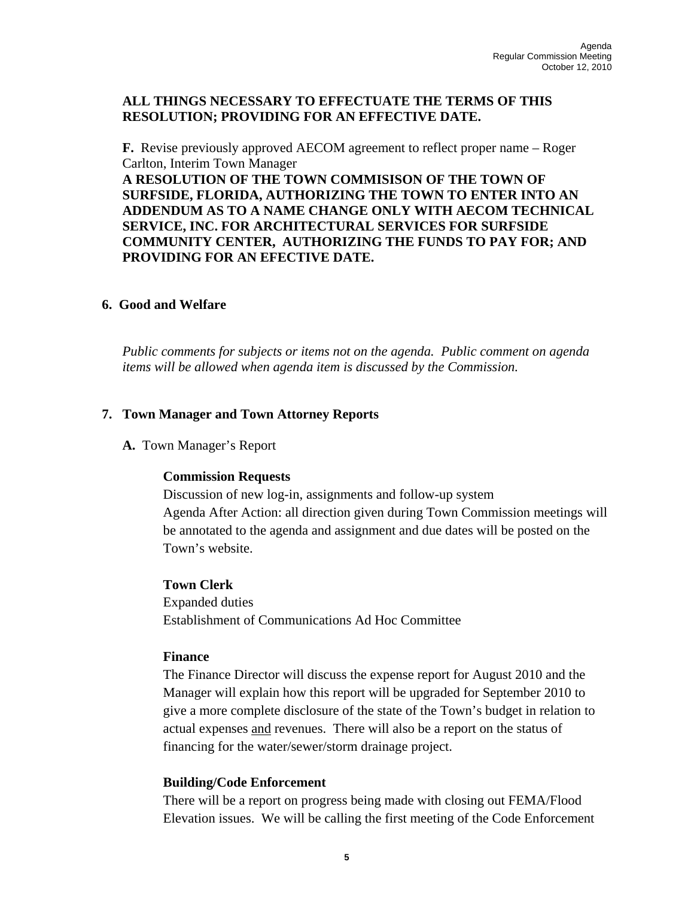## **ALL THINGS NECESSARY TO EFFECTUATE THE TERMS OF THIS RESOLUTION; PROVIDING FOR AN EFFECTIVE DATE.**

**F.** Revise previously approved AECOM agreement to reflect proper name – Roger Carlton, Interim Town Manager **A RESOLUTION OF THE TOWN COMMISISON OF THE TOWN OF** 

**SURFSIDE, FLORIDA, AUTHORIZING THE TOWN TO ENTER INTO AN ADDENDUM AS TO A NAME CHANGE ONLY WITH AECOM TECHNICAL SERVICE, INC. FOR ARCHITECTURAL SERVICES FOR SURFSIDE COMMUNITY CENTER, AUTHORIZING THE FUNDS TO PAY FOR; AND PROVIDING FOR AN EFECTIVE DATE.** 

### **6. Good and Welfare**

*Public comments for subjects or items not on the agenda. Public comment on agenda items will be allowed when agenda item is discussed by the Commission.* 

### **7. Town Manager and Town Attorney Reports**

**A.** Town Manager's Report

### **Commission Requests**

Discussion of new log-in, assignments and follow-up system Agenda After Action: all direction given during Town Commission meetings will be annotated to the agenda and assignment and due dates will be posted on the Town's website.

### **Town Clerk**

Expanded duties Establishment of Communications Ad Hoc Committee

#### **Finance**

The Finance Director will discuss the expense report for August 2010 and the Manager will explain how this report will be upgraded for September 2010 to give a more complete disclosure of the state of the Town's budget in relation to actual expenses and revenues. There will also be a report on the status of financing for the water/sewer/storm drainage project.

### **Building/Code Enforcement**

There will be a report on progress being made with closing out FEMA/Flood Elevation issues. We will be calling the first meeting of the Code Enforcement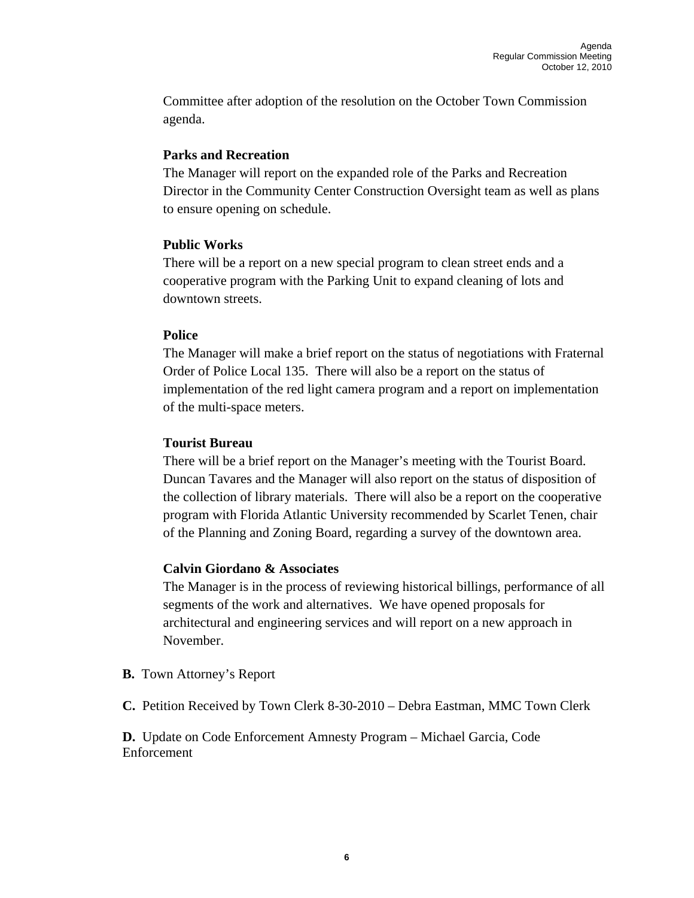Committee after adoption of the resolution on the October Town Commission agenda.

## **Parks and Recreation**

The Manager will report on the expanded role of the Parks and Recreation Director in the Community Center Construction Oversight team as well as plans to ensure opening on schedule.

## **Public Works**

There will be a report on a new special program to clean street ends and a cooperative program with the Parking Unit to expand cleaning of lots and downtown streets.

## **Police**

The Manager will make a brief report on the status of negotiations with Fraternal Order of Police Local 135. There will also be a report on the status of implementation of the red light camera program and a report on implementation of the multi-space meters.

## **Tourist Bureau**

There will be a brief report on the Manager's meeting with the Tourist Board. Duncan Tavares and the Manager will also report on the status of disposition of the collection of library materials. There will also be a report on the cooperative program with Florida Atlantic University recommended by Scarlet Tenen, chair of the Planning and Zoning Board, regarding a survey of the downtown area.

# **Calvin Giordano & Associates**

The Manager is in the process of reviewing historical billings, performance of all segments of the work and alternatives. We have opened proposals for architectural and engineering services and will report on a new approach in November.

**B.** Town Attorney's Report

**C.** Petition Received by Town Clerk 8-30-2010 – Debra Eastman, MMC Town Clerk

**D.** Update on Code Enforcement Amnesty Program – Michael Garcia, Code Enforcement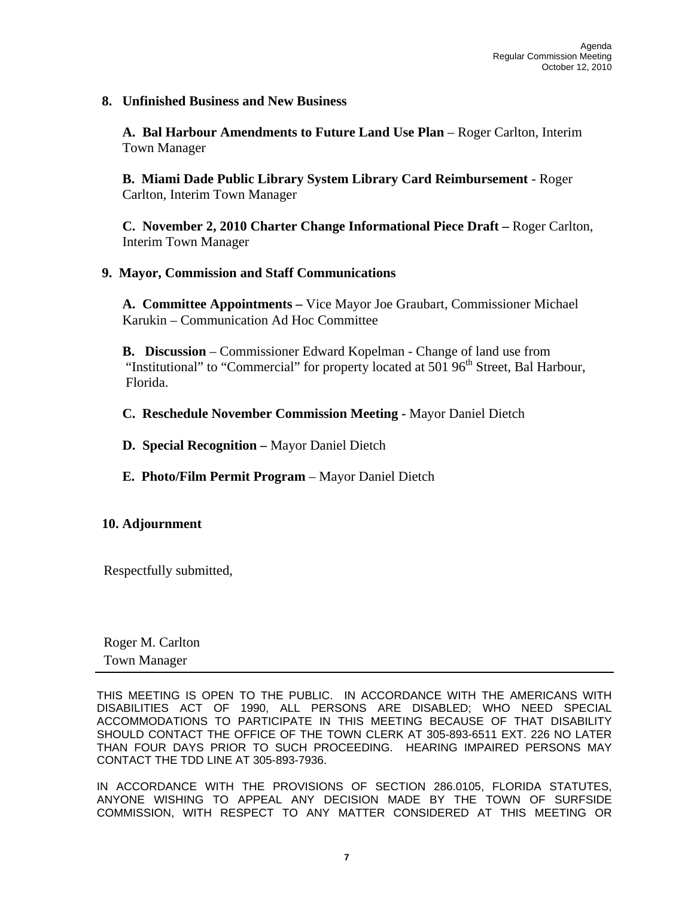**8. Unfinished Business and New Business** 

**A. Bal Harbour Amendments to Future Land Use Plan** – Roger Carlton, Interim Town Manager

**B. Miami Dade Public Library System Library Card Reimbursement** - Roger Carlton, Interim Town Manager

**C. November 2, 2010 Charter Change Informational Piece Draft –** Roger Carlton, Interim Town Manager

## **9. Mayor, Commission and Staff Communications**

 **A. Committee Appointments –** Vice Mayor Joe Graubart, Commissioner Michael Karukin – Communication Ad Hoc Committee

**B. Discussion** – Commissioner Edward Kopelman - Change of land use from "Institutional" to "Commercial" for property located at  $501\,96<sup>th</sup>$  Street, Bal Harbour, Florida.

**C. Reschedule November Commission Meeting -** Mayor Daniel Dietch

- **D. Special Recognition** Mayor Daniel Dietch
- **E. Photo/Film Permit Program** Mayor Daniel Dietch

### **10. Adjournment**

Respectfully submitted,

 Roger M. Carlton Town Manager

THIS MEETING IS OPEN TO THE PUBLIC. IN ACCORDANCE WITH THE AMERICANS WITH DISABILITIES ACT OF 1990, ALL PERSONS ARE DISABLED; WHO NEED SPECIAL ACCOMMODATIONS TO PARTICIPATE IN THIS MEETING BECAUSE OF THAT DISABILITY SHOULD CONTACT THE OFFICE OF THE TOWN CLERK AT 305-893-6511 EXT. 226 NO LATER THAN FOUR DAYS PRIOR TO SUCH PROCEEDING. HEARING IMPAIRED PERSONS MAY CONTACT THE TDD LINE AT 305-893-7936.

IN ACCORDANCE WITH THE PROVISIONS OF SECTION 286.0105, FLORIDA STATUTES, ANYONE WISHING TO APPEAL ANY DECISION MADE BY THE TOWN OF SURFSIDE COMMISSION, WITH RESPECT TO ANY MATTER CONSIDERED AT THIS MEETING OR